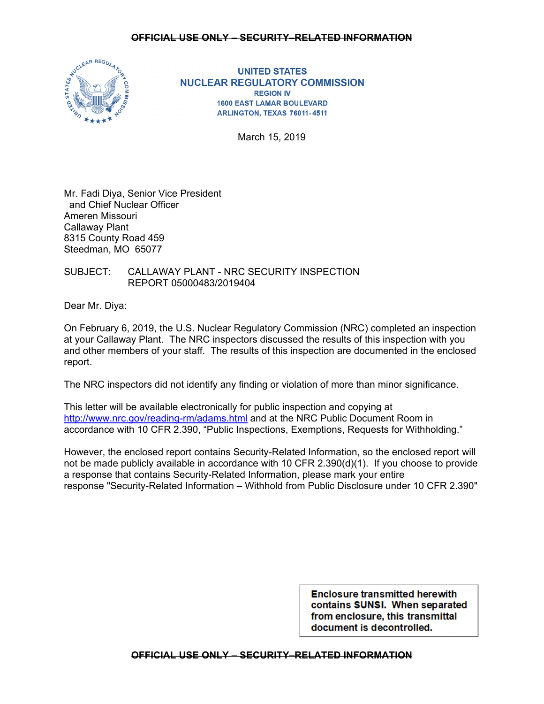# **OFFICIAL USE ONLY – SECURITY–RELATED INFORMATION**



**UNITED STATES NUCLEAR REGULATORY COMMISSION REGION IV 1600 EAST LAMAR BOULEVARD** ARLINGTON, TEXAS 76011-4511

March 15, 2019

Mr. Fadi Diya, Senior Vice President and Chief Nuclear Officer Ameren Missouri Callaway Plant 8315 County Road 459 Steedman, MO 65077

SUBJECT: CALLAWAY PLANT - NRC SECURITY INSPECTION REPORT 05000483/2019404

Dear Mr. Diya:

On February 6, 2019, the U.S. Nuclear Regulatory Commission (NRC) completed an inspection at your Callaway Plant. The NRC inspectors discussed the results of this inspection with you and other members of your staff. The results of this inspection are documented in the enclosed report.

The NRC inspectors did not identify any finding or violation of more than minor significance.

This letter will be available electronically for public inspection and copying at http://www.nrc.gov/reading-rm/adams.html and at the NRC Public Document Room in accordance with 10 CFR 2.390, "Public Inspections, Exemptions, Requests for Withholding."

However, the enclosed report contains Security-Related Information, so the enclosed report will not be made publicly available in accordance with 10 CFR 2.390(d)(1). If you choose to provide a response that contains Security-Related Information, please mark your entire response "Security-Related Information – Withhold from Public Disclosure under 10 CFR 2.390"

> **Enclosure transmitted herewith** contains SUNSI. When separated from enclosure, this transmittal document is decontrolled.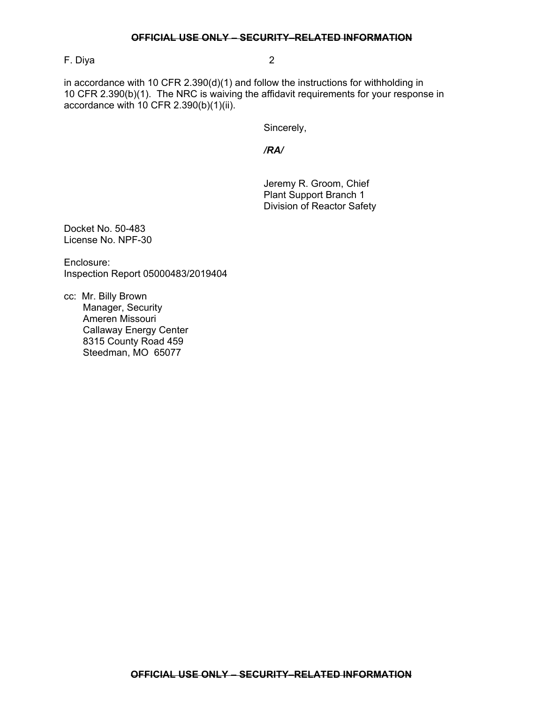F. Diya 2

in accordance with 10 CFR 2.390(d)(1) and follow the instructions for withholding in 10 CFR 2.390(b)(1). The NRC is waiving the affidavit requirements for your response in accordance with 10 CFR 2.390(b)(1)(ii).

Sincerely,

*/RA/* 

Jeremy R. Groom, Chief Plant Support Branch 1 Division of Reactor Safety

Docket No. 50-483 License No. NPF-30

Enclosure: Inspection Report 05000483/2019404

cc: Mr. Billy Brown Manager, Security Ameren Missouri Callaway Energy Center 8315 County Road 459 Steedman, MO 65077